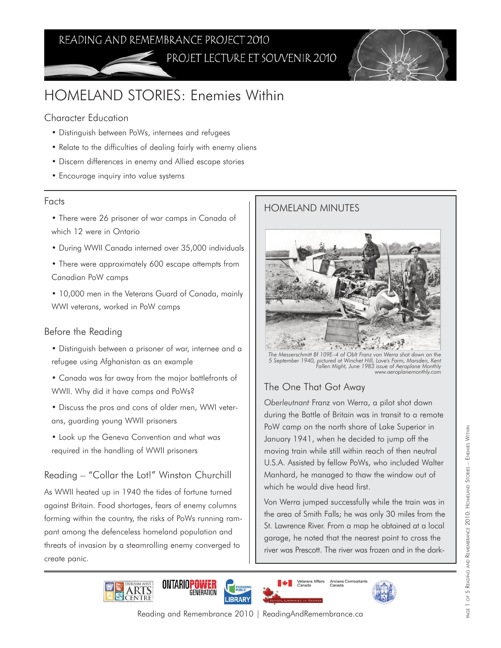# READING AND REMEMBRANCE PROJECT 2010 PROJET LECTURE ET SOUVENIR 2010



# HOMELAND STORIES: Enemies Within

### Character Education

- Distinguish between PoWs, internees and refugees
- Relate to the difficulties of dealing fairly with enemy aliens
- Discern differences in enemy and Allied escape stories
- Encourage inquiry into value systems

### Facts

• There were 26 prisoner of war camps in Canada of which 12 were in Ontario

- During WWII Canada interned over 35,000 individuals
- There were approximately 600 escape attempts from Canadian PoW camps

• 10,000 men in the Veterans Guard of Canada, mainly WWI veterans, worked in PoW camps

### Before the Reading

- Distinguish between a prisoner of war, internee and a refugee using Afghanistan as an example
- Canada was far away from the major battlefronts of WWII. Why did it have camps and PoWs?
- Discuss the pros and cons of older men, WWI veterans, guarding young WWII prisoners
- Look up the Geneva Convention and what was required in the handling of WWII prisoners

## Reading – "Collar the Lot!" Winston Churchill

As WWII heated up in 1940 the tides of fortune turned against Britain. Food shortages, fears of enemy columns forming within the country, the risks of PoWs running rampant among the defenceless homeland population and threats of invasion by a steamrolling enemy converged to create panic.

## HOMELAND MINUTES



*The Messerschmitt Bf 109E–4 of Oblt Franz von Werra shot down on the 5 September 1940, pictured at Winchet Hill, Love's Farm, Marsden, Kent Fallen Might, June 1983 issue of Aeroplane Monthly www.aeroplanemonthly.com* 

## The One That Got Away

*Oberleutnant* Franz von Werra, a pilot shot down during the Battle of Britain was in transit to a remote PoW camp on the north shore of Lake Superior in January 1941, when he decided to jump off the moving train while still within reach of then neutral U.S.A. Assisted by fellow PoWs, who included Walter Manhard, he managed to thaw the window out of which he would dive head first.

Von Werra jumped successfully while the train was in the area of Smith Falls; he was only 30 miles from the St. Lawrence River. From a map he obtained at a local garage, he noted that the nearest point to cross the river was Prescott. The river was frozen and in the dark-







Reading and Remembrance 2010 | ReadingAndRemembrance.ca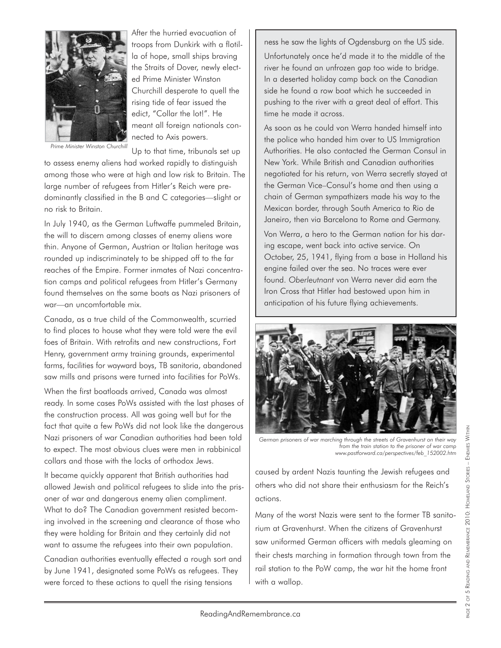

After the hurried evacuation of troops from Dunkirk with a flotilla of hope, small ships braving the Straits of Dover, newly elected Prime Minister Winston Churchill desperate to quell the rising tide of fear issued the edict, "Collar the lot!". He meant all foreign nationals connected to Axis powers.

*Prime Minister Winston Churchill*

Up to that time, tribunals set up to assess enemy aliens had worked rapidly to distinguish among those who were at high and low risk to Britain. The large number of refugees from Hitler's Reich were predominantly classified in the B and C categories—slight or no risk to Britain.

In July 1940, as the German Luftwaffe pummeled Britain, the will to discern among classes of enemy aliens wore thin. Anyone of German, Austrian or Italian heritage was rounded up indiscriminately to be shipped off to the far reaches of the Empire. Former inmates of Nazi concentration camps and political refugees from Hitler's Germany found themselves on the same boats as Nazi prisoners of war—an uncomfortable mix.

Canada, as a true child of the Commonwealth, scurried to find places to house what they were told were the evil foes of Britain. With retrofits and new constructions, Fort Henry, government army training grounds, experimental farms, facilities for wayward boys, TB sanitoria, abandoned saw mills and prisons were turned into facilities for PoWs. When the first boatloads arrived, Canada was almost ready. In some cases PoWs assisted with the last phases of the construction process. All was going well but for the fact that quite a few PoWs did not look like the dangerous Nazi prisoners of war Canadian authorities had been told to expect. The most obvious clues were men in rabbinical collars and those with the locks of orthodox Jews.

It became quickly apparent that British authorities had allowed Jewish and political refugees to slide into the prisoner of war and dangerous enemy alien compliment. What to do? The Canadian government resisted becoming involved in the screening and clearance of those who they were holding for Britain and they certainly did not want to assume the refugees into their own population.

Canadian authorities eventually effected a rough sort and by June 1941, designated some PoWs as refugees. They were forced to these actions to quell the rising tensions

ness he saw the lights of Ogdensburg on the US side. Unfortunately once he'd made it to the middle of the river he found an unfrozen gap too wide to bridge. In a deserted holiday camp back on the Canadian side he found a row boat which he succeeded in pushing to the river with a great deal of effort. This time he made it across.

As soon as he could von Werra handed himself into the police who handed him over to US Immigration Authorities. He also contacted the German Consul in New York. While British and Canadian authorities negotiated for his return, von Werra secretly stayed at the German Vice–Consul's home and then using a chain of German sympathizers made his way to the Mexican border, through South America to Rio de Janeiro, then via Barcelona to Rome and Germany.

Von Werra, a hero to the German nation for his daring escape, went back into active service. On October, 25, 1941, flying from a base in Holland his engine failed over the sea. No traces were ever found. *Oberleutnant* von Werra never did earn the Iron Cross that Hitler had bestowed upon him in anticipation of his future flying achievements.



*German prisoners of war marching through the streets of Gravenhurst on their way from the train station to the prisoner of war camp www.pastforward.ca/perspectives/feb\_152002.htm*

caused by ardent Nazis taunting the Jewish refugees and others who did not share their enthusiasm for the Reich's actions.

Many of the worst Nazis were sent to the former TB sanitorium at Gravenhurst. When the citizens of Gravenhurst saw uniformed German officers with medals gleaming on their chests marching in formation through town from the rail station to the PoW camp, the war hit the home front with a wallop.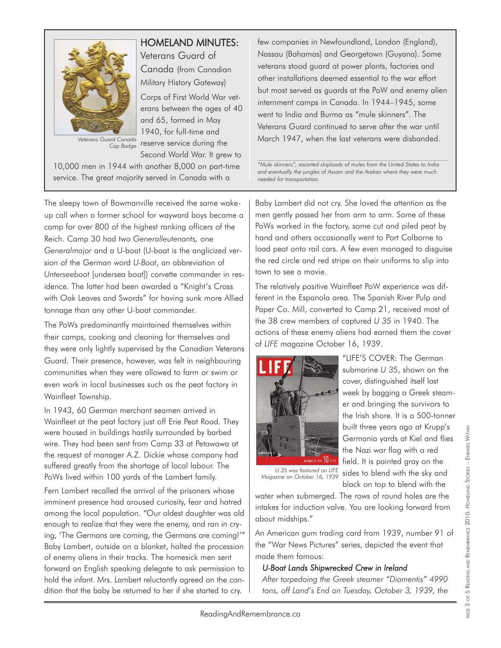

# HOMELAND MINUTES:

Veterans Guard of Canada (from Canadian Military History Gateway) Corps of First World War vet-

erans between the ages of 40 and 65, formed in May 1940, for full-time and reserve service during the Second World War. It grew to

10,000 men in 1944 with another 8,000 on part-time service. The great majority served in Canada with a

*Cap Badge*

The sleepy town of Bowmanville received the same wakeup call when a former school for wayward boys became a camp for over 800 of the highest ranking officers of the Reich. Camp 30 had two *Generalleutenants,* one *Generalmajor* and a U-boat (U-boat is the anglicized version of the German word *U-Boot*, an abbreviation of *Unterseeboot* [undersea boat]) corvette commander in residence. The latter had been awarded a "Knight's Cross with Oak Leaves and Swords" for having sunk more Allied tonnage than any other U-boat commander.

The PoWs predominantly maintained themselves within their camps, cooking and cleaning for themselves and they were only lightly supervised by the Canadian Veterans Guard. Their presence, however, was felt in neighbouring communities when they were allowed to farm or swim or even work in local businesses such as the peat factory in Wainfleet Township.

In 1943, 60 German merchant seamen arrived in Wainfleet at the peat factory just off Erie Peat Road. They were housed in buildings hastily surrounded by barbed wire. They had been sent from Camp 33 at Petawawa at the request of manager A.Z. Dickie whose company had suffered greatly from the shortage of local labour. The PoWs lived within 100 yards of the Lambert family.

Fern Lambert recalled the arrival of the prisoners whose imminent presence had aroused curiosity, fear and hatred among the local population. "Our oldest daughter was old enough to realize that they were the enemy, and ran in crying, 'The Germans are coming, the Germans are coming!'" Baby Lambert, outside on a blanket, halted the procession of enemy aliens in their tracks. The homesick men sent forward an English speaking delegate to ask permission to hold the infant. Mrs. Lambert reluctantly agreed on the condition that the baby be returned to her if she started to cry.

few companies in Newfoundland, London (England), Nassau (Bahamas) and Georgetown (Guyana). Some veterans stood guard at power plants, factories and other installations deemed essential to the war effort but most served as guards at the PoW and enemy alien internment camps in Canada. In 1944–1945, some went to India and Burma as "mule skinners". The Veterans Guard continued to serve after the war until March 1947, when the last veterans were disbanded.

*"Mule skinners", escorted shiploads of mules from the United States to India and eventually the jungles of Assam and the Arakan where they were much needed for transportation.*

Baby Lambert did not cry. She loved the attention as the men gently passed her from arm to arm. Some of these PoWs worked in the factory, some cut and piled peat by hand and others occasionally went to Port Colborne to load peat onto rail cars. A few even managed to disguise the red circle and red stripe on their uniforms to slip into town to see a movie.

The relatively positive Wainfleet PoW experience was different in the Espanola area. The Spanish River Pulp and Paper Co. Mill, converted to Camp 21, received most of the 38 crew members of captured *U 35* in 1940. The actions of these enemy aliens had earned them the cover of *LIFE* magazine October 16, 1939.



"LIFE'S COVER: The German submarine *U 35*, shown on the cover, distinguished itself last week by bagging a Greek steamer and bringing the survivors to the Irish shore. It is a 500-tonner built three years ago at Krupp's Germania yards at Kiel and flies the Nazi war flag with a red field. It is painted gray on the sides to blend with the sky and black on top to blend with the

*U 35 was featured on LIFE Magazine on October 16, 1939*

water when submerged. The rows of round holes are the intakes for induction valve. You are looking forward from about midships."

An American gum trading card from 1939, number 91 of the "War News Pictures" series, depicted the event that made them famous:

#### *U-Boat Lands Shipwrecked Crew in Ireland*

*After torpedoing the Greek steamer "Diamentis" 4990 tons, off Land's End on Tuesday, October 3, 1939, the*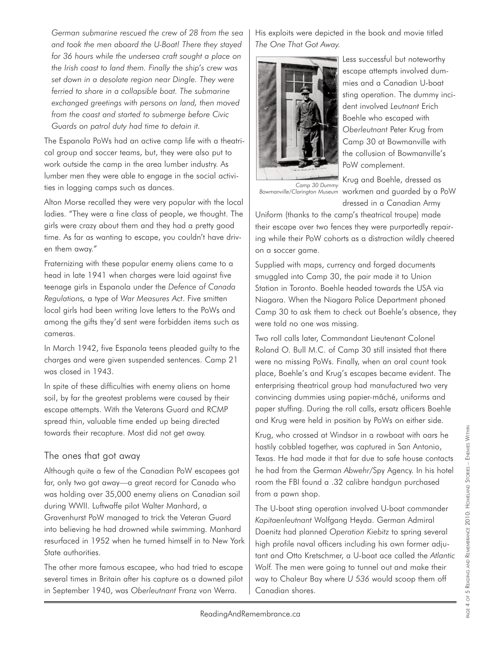*German submarine rescued the crew of 28 from the sea and took the men aboard the U-Boat! There they stayed for 36 hours while the undersea craft sought a place on the Irish coast to land them. Finally the ship's crew was set down in a desolate region near Dingle. They were ferried to shore in a collapsible boat. The submarine exchanged greetings with persons on land, then moved from the coast and started to submerge before Civic Guards on patrol duty had time to detain it.*

The Espanola PoWs had an active camp life with a theatrical group and soccer teams, but, they were also put to work outside the camp in the area lumber industry. As lumber men they were able to engage in the social activities in logging camps such as dances.

Alton Morse recalled they were very popular with the local ladies. "They were a fine class of people, we thought. The girls were crazy about them and they had a pretty good time. As far as wanting to escape, you couldn't have driven them away."

Fraternizing with these popular enemy aliens came to a head in late 1941 when charges were laid against five teenage girls in Espanola under the *Defence of Canada Regulations,* a type of *War Measures Act*. Five smitten local girls had been writing love letters to the PoWs and among the gifts they'd sent were forbidden items such as cameras.

In March 1942, five Espanola teens pleaded guilty to the charges and were given suspended sentences. Camp 21 was closed in 1943.

In spite of these difficulties with enemy aliens on home soil, by far the greatest problems were caused by their escape attempts. With the Veterans Guard and RCMP spread thin, valuable time ended up being directed towards their recapture. Most did not get away.

### The ones that got away

Although quite a few of the Canadian PoW escapees got far, only two got away—a great record for Canada who was holding over 35,000 enemy aliens on Canadian soil during WWII. Luftwaffe pilot Walter Manhard, a Gravenhurst PoW managed to trick the Veteran Guard into believing he had drowned while swimming. Manhard resurfaced in 1952 when he turned himself in to New York State authorities.

The other more famous escapee, who had tried to escape several times in Britain after his capture as a downed pilot in September 1940, was *Oberleutnant* Franz von Werra.

His exploits were depicted in the book and movie titled *The One That Got Away.*



Less successful but noteworthy escape attempts involved dummies and a Canadian U-boat sting operation. The dummy incident involved *Leutnant* Erich Boehle who escaped with *Oberleutnant* Peter Krug from Camp 30 at Bowmanville with the collusion of Bowmanville's PoW complement.

Bowmanville/Clarington Museum workmen and guarded by a PoW *Camp 30 Dummy*

dressed in a Canadian Army Uniform (thanks to the camp's theatrical troupe) made their escape over two fences they were purportedly repairing while their PoW cohorts as a distraction wildly cheered on a soccer game.

Supplied with maps, currency and forged documents smuggled into Camp 30, the pair made it to Union Station in Toronto. Boehle headed towards the USA via Niagara. When the Niagara Police Department phoned Camp 30 to ask them to check out Boehle's absence, they were told no one was missing.

Two roll calls later, Commandant Lieutenant Colonel Roland O. Bull M.C. of Camp 30 still insisted that there were no missing PoWs. Finally, when an oral count took place, Boehle's and Krug's escapes became evident. The enterprising theatrical group had manufactured two very convincing dummies using papier-mâché, uniforms and paper stuffing. During the roll calls, ersatz officers Boehle and Krug were held in position by PoWs on either side.

Krug, who crossed at Windsor in a rowboat with oars he hastily cobbled together, was captured in San Antonio, Texas. He had made it that far due to safe house contacts he had from the German *Abwehr/*Spy Agency. In his hotel room the FBI found a .32 calibre handgun purchased from a pawn shop.

The U-boat sting operation involved U-boat commander *Kapitaenleutnant* Wolfgang Heyda. German Admiral Doenitz had planned *Operation Kiebitz* to spring several high profile naval officers including his own former adjutant and Otto Kretschmer, a U-boat ace called the *Atlantic Wolf.* The men were going to tunnel out and make their way to Chaleur Bay where *U 536* would scoop them off Canadian shores.